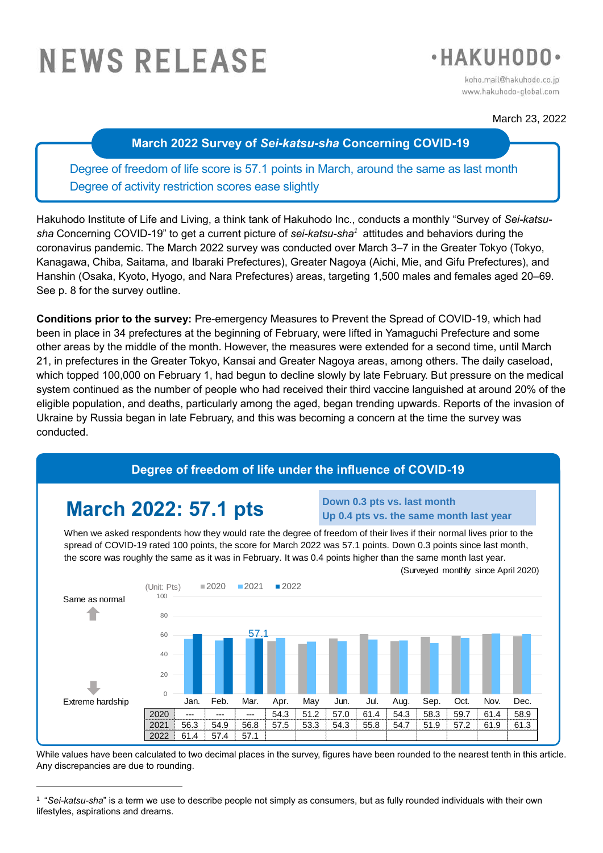# **NEWS RELEASE**



koho.mail@hakuhodo.co.jp www.hakuhodo-global.com

# March 23, 2022

# **March 2022 Survey of** *Sei-katsu-sha* **Concerning COVID-19**

Degree of freedom of life score is 57.1 points in March, around the same as last month Degree of activity restriction scores ease slightly

Hakuhodo Institute of Life and Living, a think tank of Hakuhodo Inc., conducts a monthly "Survey of *Sei-katsusha* Concerning COVID-19" to get a current picture of *sei-katsu-sha<sup>1</sup>* attitudes and behaviors during the coronavirus pandemic. The March 2022 survey was conducted over March 3–7 in the Greater Tokyo (Tokyo, Kanagawa, Chiba, Saitama, and Ibaraki Prefectures), Greater Nagoya (Aichi, Mie, and Gifu Prefectures), and Hanshin (Osaka, Kyoto, Hyogo, and Nara Prefectures) areas, targeting 1,500 males and females aged 20–69. See p. 8 for the survey outline.

**Conditions prior to the survey:** Pre-emergency Measures to Prevent the Spread of COVID-19, which had been in place in 34 prefectures at the beginning of February, were lifted in Yamaguchi Prefecture and some other areas by the middle of the month. However, the measures were extended for a second time, until March 21, in prefectures in the Greater Tokyo, Kansai and Greater Nagoya areas, among others. The daily caseload, which topped 100,000 on February 1, had begun to decline slowly by late February. But pressure on the medical system continued as the number of people who had received their third vaccine languished at around 20% of the eligible population, and deaths, particularly among the aged, began trending upwards. Reports of the invasion of Ukraine by Russia began in late February, and this was becoming a concern at the time the survey was conducted.

# **Degree of freedom of life under the influence of COVID-19**

# **March 2022: 57.1 pts**

-

#### **Down 0.3 pts vs. last month Up 0.4 pts vs. the same month last year**

When we asked respondents how they would rate the degree of freedom of their lives if their normal lives prior to the spread of COVID-19 rated 100 points, the score for March 2022 was 57.1 points. Down 0.3 points since last month, the score was roughly the same as it was in February. It was 0.4 points higher than the same month last year.



While values have been calculated to two decimal places in the survey, figures have been rounded to the nearest tenth in this article. Any discrepancies are due to rounding.

<sup>1</sup> "*Sei-katsu-sha*" is a term we use to describe people not simply as consumers, but as fully rounded individuals with their own lifestyles, aspirations and dreams.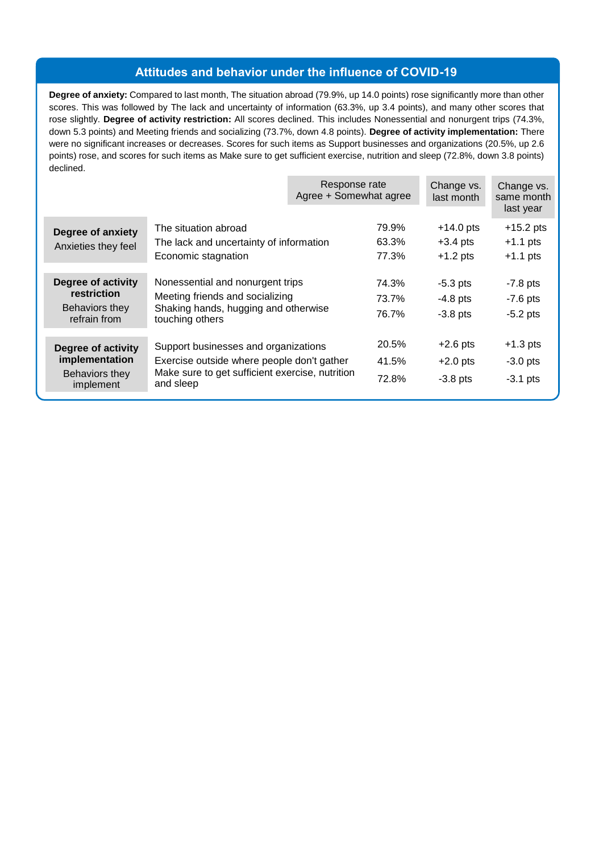# **Attitudes and behavior under the influence of COVID-19**

**Degree of anxiety:** Compared to last month, The situation abroad (79.9%, up 14.0 points) rose significantly more than other scores. This was followed by The lack and uncertainty of information (63.3%, up 3.4 points), and many other scores that rose slightly. **Degree of activity restriction:** All scores declined. This includes Nonessential and nonurgent trips (74.3%, down 5.3 points) and Meeting friends and socializing (73.7%, down 4.8 points). **Degree of activity implementation:** There were no significant increases or decreases. Scores for such items as Support businesses and organizations (20.5%, up 2.6 points) rose, and scores for such items as Make sure to get sufficient exercise, nutrition and sleep (72.8%, down 3.8 points) declined.

|                                                                     |                                                                                                                                                    | Response rate<br>Agree + Somewhat agree |                         | Change vs.<br>last month                | Change vs.<br>same month<br>last year   |
|---------------------------------------------------------------------|----------------------------------------------------------------------------------------------------------------------------------------------------|-----------------------------------------|-------------------------|-----------------------------------------|-----------------------------------------|
| <b>Degree of anxiety</b><br>Anxieties they feel                     | The situation abroad<br>The lack and uncertainty of information<br>Economic stagnation                                                             |                                         | 79.9%<br>63.3%<br>77.3% | $+14.0$ pts<br>$+3.4$ pts<br>$+1.2$ pts | $+15.2$ pts<br>$+1.1$ pts<br>$+1.1$ pts |
| Degree of activity<br>restriction<br>Behaviors they<br>refrain from | Nonessential and nonurgent trips<br>Meeting friends and socializing<br>Shaking hands, hugging and otherwise<br>touching others                     |                                         | 74.3%<br>73.7%<br>76.7% | $-5.3$ pts<br>$-4.8$ pts<br>$-3.8$ pts  | $-7.8$ pts<br>$-7.6$ pts<br>$-5.2$ pts  |
| Degree of activity<br>implementation<br>Behaviors they<br>implement | Support businesses and organizations<br>Exercise outside where people don't gather<br>Make sure to get sufficient exercise, nutrition<br>and sleep |                                         | 20.5%<br>41.5%<br>72.8% | $+2.6$ pts<br>$+2.0$ pts<br>$-3.8$ pts  | $+1.3$ pts<br>$-3.0$ pts<br>$-3.1$ pts  |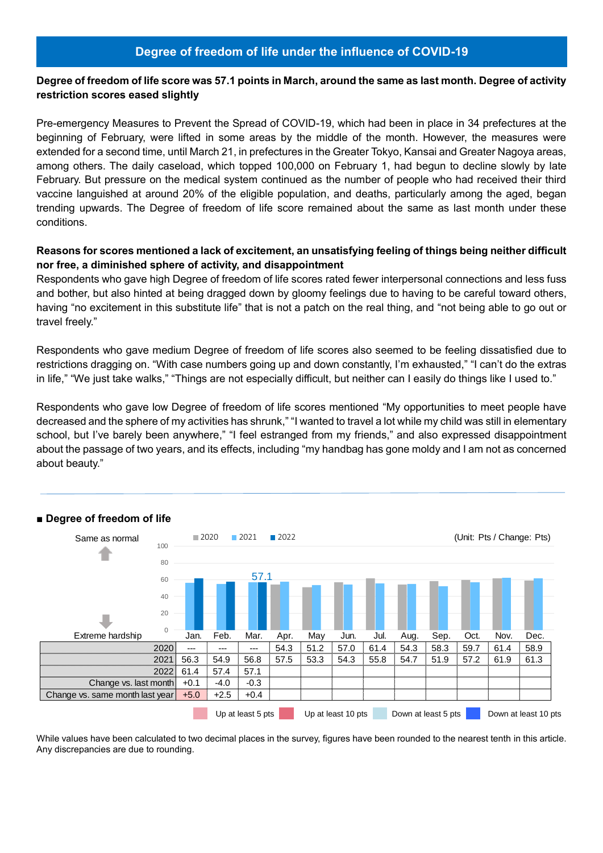# **Degree of freedom of life score was 57.1 points in March, around the same as last month. Degree of activity restriction scores eased slightly**

Pre-emergency Measures to Prevent the Spread of COVID-19, which had been in place in 34 prefectures at the beginning of February, were lifted in some areas by the middle of the month. However, the measures were extended for a second time, until March 21, in prefectures in the Greater Tokyo, Kansai and Greater Nagoya areas, among others. The daily caseload, which topped 100,000 on February 1, had begun to decline slowly by late February. But pressure on the medical system continued as the number of people who had received their third vaccine languished at around 20% of the eligible population, and deaths, particularly among the aged, began trending upwards. The Degree of freedom of life score remained about the same as last month under these conditions.

# **Reasons for scores mentioned a lack of excitement, an unsatisfying feeling of things being neither difficult nor free, a diminished sphere of activity, and disappointment**

Respondents who gave high Degree of freedom of life scores rated fewer interpersonal connections and less fuss and bother, but also hinted at being dragged down by gloomy feelings due to having to be careful toward others, having "no excitement in this substitute life" that is not a patch on the real thing, and "not being able to go out or travel freely."

Respondents who gave medium Degree of freedom of life scores also seemed to be feeling dissatisfied due to restrictions dragging on. "With case numbers going up and down constantly, I'm exhausted," "I can't do the extras in life," "We just take walks," "Things are not especially difficult, but neither can I easily do things like I used to."

Respondents who gave low Degree of freedom of life scores mentioned "My opportunities to meet people have decreased and the sphere of my activities has shrunk," "I wanted to travel a lot while my child was still in elementary school, but I've barely been anywhere," "I feel estranged from my friends," and also expressed disappointment about the passage of two years, and its effects, including "my handbag has gone moldy and I am not as concerned about beauty."



# **■ Degree of freedom of life**

While values have been calculated to two decimal places in the survey, figures have been rounded to the nearest tenth in this article. Any discrepancies are due to rounding.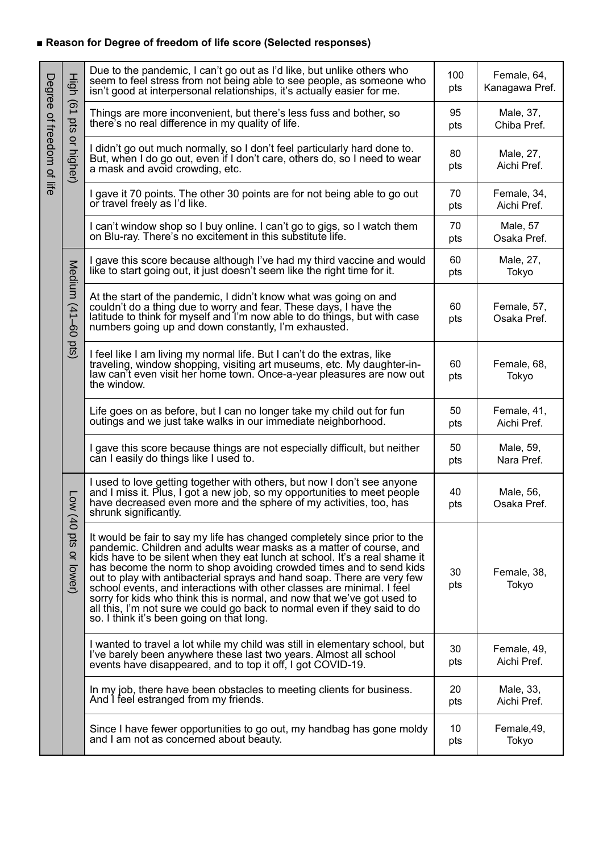# **■ Reason for Degree of freedom of life score (Selected responses)**

|                           |                         | Due to the pandemic, I can't go out as I'd like, but unlike others who<br>seem to feel stress from not being able to see people, as someone who<br>isn't good at interpersonal relationships, it's actually easier for me.                                                                                                                                                                                                                                                                                                                                                                                                                                      | 100<br>pts | Female, 64,<br>Kanagawa Pref. |
|---------------------------|-------------------------|-----------------------------------------------------------------------------------------------------------------------------------------------------------------------------------------------------------------------------------------------------------------------------------------------------------------------------------------------------------------------------------------------------------------------------------------------------------------------------------------------------------------------------------------------------------------------------------------------------------------------------------------------------------------|------------|-------------------------------|
|                           |                         | Things are more inconvenient, but there's less fuss and bother, so<br>there's no real difference in my quality of life.                                                                                                                                                                                                                                                                                                                                                                                                                                                                                                                                         | 95<br>pts  | Male, 37,<br>Chiba Pref.      |
| Degree of freedom of life | High (61 pts or higher) | I didn't go out much normally, so I don't feel particularly hard done to.<br>But, when I do go out, even if I don't care, others do, so I need to wear<br>a mask and avoid crowding, etc.                                                                                                                                                                                                                                                                                                                                                                                                                                                                       | 80<br>pts  | Male, 27,<br>Aichi Pref.      |
|                           |                         | I gave it 70 points. The other 30 points are for not being able to go out<br>or travel freely as I'd like.                                                                                                                                                                                                                                                                                                                                                                                                                                                                                                                                                      | 70<br>pts  | Female, 34,<br>Aichi Pref.    |
|                           |                         | I can't window shop so I buy online. I can't go to gigs, so I watch them<br>on Blu-ray. There's no excitement in this substitute life.                                                                                                                                                                                                                                                                                                                                                                                                                                                                                                                          | 70<br>pts  | Male, 57<br>Osaka Pref.       |
|                           |                         | I gave this score because although I've had my third vaccine and would<br>like to start going out, it just doesn't seem like the right time for it.                                                                                                                                                                                                                                                                                                                                                                                                                                                                                                             | 60<br>pts  | Male, 27,<br>Tokyo            |
|                           | Medium (41-60 pts)      | At the start of the pandemic, I didn't know what was going on and<br>couldn't do a thing due to worry and fear. These days, I have the<br>latitude to think for myself and I'm now able to do things, but with case<br>numbers going up and down constantly, I'm exhausted.                                                                                                                                                                                                                                                                                                                                                                                     | 60<br>pts  | Female, 57,<br>Osaka Pref.    |
|                           |                         | I feel like I am living my normal life. But I can't do the extras, like<br>traveling, window shopping, visiting art museums, etc. My daughter-in-<br>law can't even visit her home town. Once-a-year pleasures are now out<br>the window.                                                                                                                                                                                                                                                                                                                                                                                                                       | 60<br>pts  | Female, 68,<br>Tokyo          |
|                           |                         | Life goes on as before, but I can no longer take my child out for fun<br>outings and we just take walks in our immediate neighborhood.                                                                                                                                                                                                                                                                                                                                                                                                                                                                                                                          | 50<br>pts  | Female, 41,<br>Aichi Pref.    |
|                           |                         | I gave this score because things are not especially difficult, but neither<br>can I easily do things like I used to.                                                                                                                                                                                                                                                                                                                                                                                                                                                                                                                                            | 50<br>pts  | Male, 59,<br>Nara Pref.       |
|                           | <b>Low</b>              | I used to love getting together with others, but now I don't see anyone<br>and I miss it. Plus, I got a new job, so my opportunities to meet people<br>have decreased even more and the sphere of my activities, too, has<br>shrunk significantly.                                                                                                                                                                                                                                                                                                                                                                                                              | 40<br>pts  | Male, 56,<br>Osaka Pref.      |
|                           | (40 pts or lower)       | It would be fair to say my life has changed completely since prior to the<br>pandemic. Children and adults wear masks as a matter of course, and<br>kids have to be silent when they eat lunch at school. It's a real shame it<br>has become the norm to shop avoiding crowded times and to send kids<br>out to play with antibacterial sprays and hand soap. There are very few<br>school events, and interactions with other classes are minimal. I feel<br>sorry for kids who think this is normal, and now that we've got used to<br>all this, I'm not sure we could go back to normal even if they said to do<br>so. I think it's been going on that long. | 30<br>pts  | Female, 38,<br>Tokyo          |
|                           |                         | I wanted to travel a lot while my child was still in elementary school, but<br>I've barely been anywhere these last two years. Almost all school<br>events have disappeared, and to top it off, I got COVID-19.                                                                                                                                                                                                                                                                                                                                                                                                                                                 | 30<br>pts  | Female, 49,<br>Aichi Pref.    |
|                           |                         | In my job, there have been obstacles to meeting clients for business.<br>And I feel estranged from my friends.                                                                                                                                                                                                                                                                                                                                                                                                                                                                                                                                                  | 20<br>pts  | Male, 33,<br>Aichi Pref.      |
|                           |                         | Since I have fewer opportunities to go out, my handbag has gone moldy<br>and I am not as concerned about beauty.                                                                                                                                                                                                                                                                                                                                                                                                                                                                                                                                                | 10<br>pts  | Female, 49,<br>Tokyo          |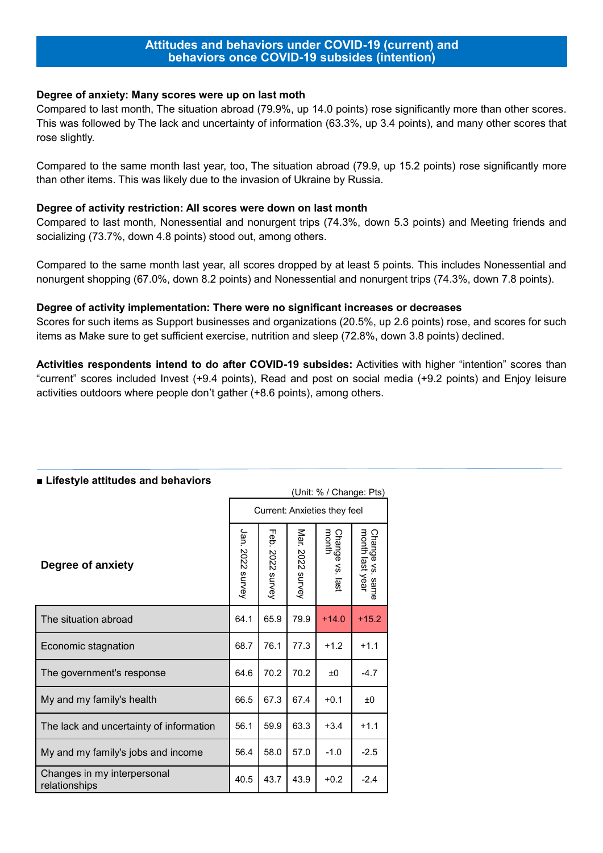#### **Degree of anxiety: Many scores were up on last moth**

Compared to last month, The situation abroad (79.9%, up 14.0 points) rose significantly more than other scores. This was followed by The lack and uncertainty of information (63.3%, up 3.4 points), and many other scores that rose slightly.

Compared to the same month last year, too, The situation abroad (79.9, up 15.2 points) rose significantly more than other items. This was likely due to the invasion of Ukraine by Russia.

#### **Degree of activity restriction: All scores were down on last month**

Compared to last month, Nonessential and nonurgent trips (74.3%, down 5.3 points) and Meeting friends and socializing (73.7%, down 4.8 points) stood out, among others.

Compared to the same month last year, all scores dropped by at least 5 points. This includes Nonessential and nonurgent shopping (67.0%, down 8.2 points) and Nonessential and nonurgent trips (74.3%, down 7.8 points).

#### **Degree of activity implementation: There were no significant increases or decreases**

Scores for such items as Support businesses and organizations (20.5%, up 2.6 points) rose, and scores for such items as Make sure to get sufficient exercise, nutrition and sleep (72.8%, down 3.8 points) declined.

**Activities respondents intend to do after COVID-19 subsides:** Activities with higher "intention" scores than "current" scores included Invest (+9.4 points), Read and post on social media (+9.2 points) and Enjoy leisure activities outdoors where people don't gather (+8.6 points), among others.

|                                              | (Unit: % / Change: Pts)      |                     |                  |                          |                                    |  |  |  |  |
|----------------------------------------------|------------------------------|---------------------|------------------|--------------------------|------------------------------------|--|--|--|--|
|                                              | Current: Anxieties they feel |                     |                  |                          |                                    |  |  |  |  |
| Degree of anxiety                            | Jan. 2022 survey             | Feb.<br>2022 survey | Mar. 2022 survey | Change vs. last<br>month | Change vs. same<br>month last year |  |  |  |  |
| The situation abroad                         | 64.1                         | 65.9                | 79.9             | $+14.0$                  | $+15.2$                            |  |  |  |  |
| Economic stagnation                          | 68.7                         | 76.1                | 77.3             | $+1.2$                   | $+1.1$                             |  |  |  |  |
| The government's response                    | 64.6                         | 70.2                | 70.2             | ±0                       | $-4.7$                             |  |  |  |  |
| My and my family's health                    | 66.5                         | 67.3                | 67.4             | $+0.1$                   | ±0                                 |  |  |  |  |
| The lack and uncertainty of information      | 56.1                         | 59.9                | 63.3             | $+3.4$                   | $+1.1$                             |  |  |  |  |
| My and my family's jobs and income           | 56.4                         | 58.0                | 57.0             | $-1.0$                   | $-2.5$                             |  |  |  |  |
| Changes in my interpersonal<br>relationships | 40.5                         | 43.7                | 43.9             | $+0.2$                   | $-2.4$                             |  |  |  |  |

#### **■ Lifestyle attitudes and behaviors**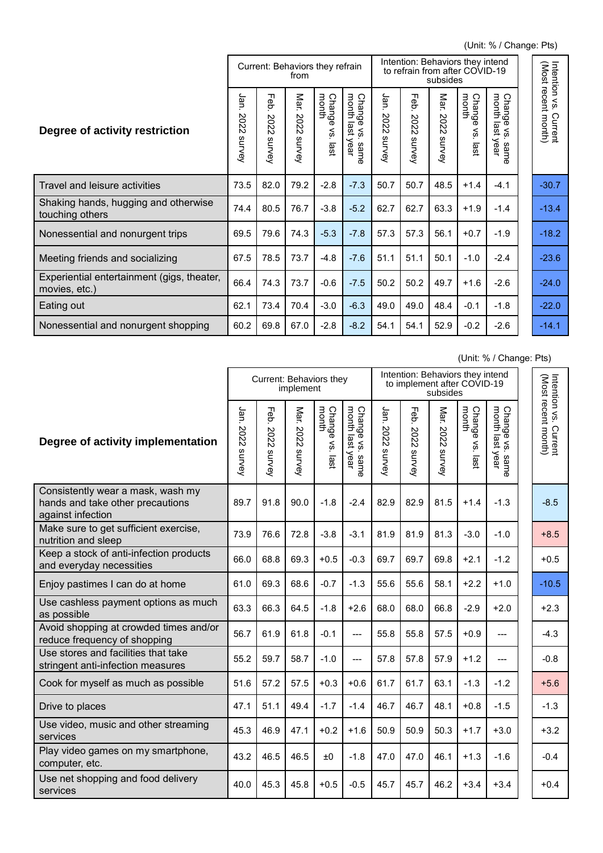(Unit: % / Change: Pts)

|                                                             |                           | Current: Behaviors they refrain              | from                                     |                               |                                                            | Intention: Behaviors they intend<br>to refrain from after COVID-19<br>subsides |                                     |                                 |                                                                 |                                                                                                               |  |                                              |
|-------------------------------------------------------------|---------------------------|----------------------------------------------|------------------------------------------|-------------------------------|------------------------------------------------------------|--------------------------------------------------------------------------------|-------------------------------------|---------------------------------|-----------------------------------------------------------------|---------------------------------------------------------------------------------------------------------------|--|----------------------------------------------|
| Degree of activity restriction                              | Jan<br>202<br>Ñ<br>survey | ᆩ<br>ወ<br>Ő<br>202<br>$\mathbf{v}$<br>survey | Mar.<br>202<br>$\mathsf{\sim}$<br>survey | Change<br>month<br>Šγ<br>last | Chang<br>month<br>ø<br>o<br>≺<br>ត្ត<br>ωĩ<br>year<br>same | Jan<br>2022<br>survey                                                          | ᠗<br>Ő<br>202<br>Ñ<br><b>SUIVey</b> | Mar.<br>202<br>$\sim$<br>survey | Chang<br>month<br>$\overline{\mathfrak{a}}$<br>š<br><b>iast</b> | month<br><b>Cha</b><br>٠ā<br>o<br>$\overline{\omega}$<br>$\,<\,$<br>ğ<br><b>SO</b><br>year<br>sam<br><b>D</b> |  | Intention vs. Current<br>(Most recent month) |
| Travel and leisure activities                               | 73.5                      | 82.0                                         | 79.2                                     | $-2.8$                        | $-7.3$                                                     | 50.7                                                                           | 50.7                                | 48.5                            | $+1.4$                                                          | $-4.1$                                                                                                        |  | $-30.7$                                      |
| Shaking hands, hugging and otherwise<br>touching others     | 74.4                      | 80.5                                         | 76.7                                     | $-3.8$                        | $-5.2$                                                     | 62.7                                                                           | 62.7                                | 63.3                            | $+1.9$                                                          | $-1.4$                                                                                                        |  | $-13.4$                                      |
| Nonessential and nonurgent trips                            | 69.5                      | 79.6                                         | 74.3                                     | $-5.3$                        | $-7.8$                                                     | 57.3                                                                           | 57.3                                | 56.1                            | $+0.7$                                                          | $-1.9$                                                                                                        |  | $-18.2$                                      |
| Meeting friends and socializing                             | 67.5                      | 78.5                                         | 73.7                                     | $-4.8$                        | $-7.6$                                                     | 51.1                                                                           | 51.1                                | 50.1                            | $-1.0$                                                          | $-2.4$                                                                                                        |  | $-23.6$                                      |
| Experiential entertainment (gigs, theater,<br>movies, etc.) | 66.4                      | 74.3                                         | 73.7                                     | $-0.6$                        | $-7.5$                                                     | 50.2                                                                           | 50.2                                | 49.7                            | $+1.6$                                                          | $-2.6$                                                                                                        |  | $-24.0$                                      |
| Eating out                                                  | 62.1                      | 73.4                                         | 70.4                                     | $-3.0$                        | $-6.3$                                                     | 49.0                                                                           | 49.0                                | 48.4                            | $-0.1$                                                          | $-1.8$                                                                                                        |  | $-22.0$                                      |
| Nonessential and nonurgent shopping                         | 60.2                      | 69.8                                         | 67.0                                     | $-2.8$                        | $-8.2$                                                     | 54.1                                                                           | 54.1                                | 52.9                            | $-0.2$                                                          | $-2.6$                                                                                                        |  | $-14.1$                                      |

(Unit: % / Change: Pts)

|                                                                                            |                        | Current: Behaviors they | implement                     |                                             |                                           | Intention: Behaviors they intend<br>to implement after COVID-19<br>subsides |                       |                        |                               |                                           |  |                                              |
|--------------------------------------------------------------------------------------------|------------------------|-------------------------|-------------------------------|---------------------------------------------|-------------------------------------------|-----------------------------------------------------------------------------|-----------------------|------------------------|-------------------------------|-------------------------------------------|--|----------------------------------------------|
| Degree of activity implementation                                                          | Jan.<br>2022<br>survey | Feb<br>2022<br>survey   | <b>Mar.</b><br>2022<br>survey | Change<br>month<br>$\approx$<br><b>iast</b> | Change vs. sam<br>month last year<br>same | Jan.<br>2022<br>survey                                                      | Feb<br>2022<br>survey | Mar.<br>2022<br>survey | Change<br>month<br>Š.<br>last | Change vs. sam<br>month last year<br>same |  | Intention vs. Current<br>(Most recent month) |
| Consistently wear a mask, wash my<br>hands and take other precautions<br>against infection | 89.7                   | 91.8                    | 90.0                          | $-1.8$                                      | $-2.4$                                    | 82.9                                                                        | 82.9                  | 81.5                   | $+1.4$                        | $-1.3$                                    |  | $-8.5$                                       |
| Make sure to get sufficient exercise,<br>nutrition and sleep                               | 73.9                   | 76.6                    | 72.8                          | $-3.8$                                      | $-3.1$                                    | 81.9                                                                        | 81.9                  | 81.3                   | $-3.0$                        | $-1.0$                                    |  | $+8.5$                                       |
| Keep a stock of anti-infection products<br>and everyday necessities                        | 66.0                   | 68.8                    | 69.3                          | $+0.5$                                      | $-0.3$                                    | 69.7                                                                        | 69.7                  | 69.8                   | $+2.1$                        | $-1.2$                                    |  | $+0.5$                                       |
| Enjoy pastimes I can do at home                                                            | 61.0                   | 69.3                    | 68.6                          | $-0.7$                                      | $-1.3$                                    | 55.6                                                                        | 55.6                  | 58.1                   | $+2.2$                        | $+1.0$                                    |  | $-10.5$                                      |
| Use cashless payment options as much<br>as possible                                        | 63.3                   | 66.3                    | 64.5                          | $-1.8$                                      | $+2.6$                                    | 68.0                                                                        | 68.0                  | 66.8                   | $-2.9$                        | $+2.0$                                    |  | $+2.3$                                       |
| Avoid shopping at crowded times and/or<br>reduce frequency of shopping                     | 56.7                   | 61.9                    | 61.8                          | $-0.1$                                      | $---$                                     | 55.8                                                                        | 55.8                  | 57.5                   | $+0.9$                        | ---                                       |  | $-4.3$                                       |
| Use stores and facilities that take<br>stringent anti-infection measures                   | 55.2                   | 59.7                    | 58.7                          | $-1.0$                                      | $---$                                     | 57.8                                                                        | 57.8                  | 57.9                   | $+1.2$                        | ---                                       |  | $-0.8$                                       |
| Cook for myself as much as possible                                                        | 51.6                   | 57.2                    | 57.5                          | $+0.3$                                      | $+0.6$                                    | 61.7                                                                        | 61.7                  | 63.1                   | $-1.3$                        | $-1.2$                                    |  | $+5.6$                                       |
| Drive to places                                                                            | 47.1                   | 51.1                    | 49.4                          | $-1.7$                                      | $-1.4$                                    | 46.7                                                                        | 46.7                  | 48.1                   | $+0.8$                        | $-1.5$                                    |  | $-1.3$                                       |
| Use video, music and other streaming<br>services                                           | 45.3                   | 46.9                    | 47.1                          | $+0.2$                                      | $+1.6$                                    | 50.9                                                                        | 50.9                  | 50.3                   | $+1.7$                        | $+3.0$                                    |  | $+3.2$                                       |
| Play video games on my smartphone,<br>computer, etc.                                       | 43.2                   | 46.5                    | 46.5                          | ±0                                          | $-1.8$                                    | 47.0                                                                        | 47.0                  | 46.1                   | $+1.3$                        | $-1.6$                                    |  | $-0.4$                                       |
| Use net shopping and food delivery<br>services                                             | 40.0                   | 45.3                    | 45.8                          | $+0.5$                                      | $-0.5$                                    | 45.7                                                                        | 45.7                  | 46.2                   | $+3.4$                        | $+3.4$                                    |  | $+0.4$                                       |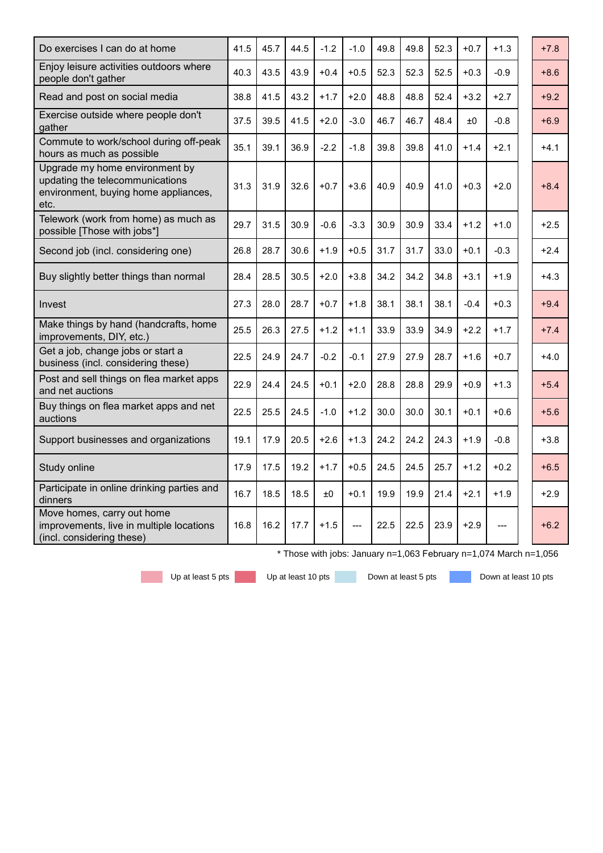| Do exercises I can do at home                                                                                     | 41.5 | 45.7 | 44.5 | $-1.2$ | $-1.0$ | 49.8 | 49.8 | 52.3 | $+0.7$ | $+1.3$ | $+7.8$ |
|-------------------------------------------------------------------------------------------------------------------|------|------|------|--------|--------|------|------|------|--------|--------|--------|
| Enjoy leisure activities outdoors where<br>people don't gather                                                    | 40.3 | 43.5 | 43.9 | $+0.4$ | $+0.5$ | 52.3 | 52.3 | 52.5 | $+0.3$ | $-0.9$ | $+8.6$ |
| Read and post on social media                                                                                     | 38.8 | 41.5 | 43.2 | $+1.7$ | $+2.0$ | 48.8 | 48.8 | 52.4 | $+3.2$ | $+2.7$ | $+9.2$ |
| Exercise outside where people don't<br>gather                                                                     | 37.5 | 39.5 | 41.5 | $+2.0$ | $-3.0$ | 46.7 | 46.7 | 48.4 | ±0     | $-0.8$ | $+6.9$ |
| Commute to work/school during off-peak<br>hours as much as possible                                               | 35.1 | 39.1 | 36.9 | $-2.2$ | $-1.8$ | 39.8 | 39.8 | 41.0 | $+1.4$ | $+2.1$ | $+4.1$ |
| Upgrade my home environment by<br>updating the telecommunications<br>environment, buying home appliances,<br>etc. | 31.3 | 31.9 | 32.6 | $+0.7$ | $+3.6$ | 40.9 | 40.9 | 41.0 | $+0.3$ | $+2.0$ | $+8.4$ |
| Telework (work from home) as much as<br>possible [Those with jobs*]                                               | 29.7 | 31.5 | 30.9 | $-0.6$ | $-3.3$ | 30.9 | 30.9 | 33.4 | $+1.2$ | $+1.0$ | $+2.5$ |
| Second job (incl. considering one)                                                                                | 26.8 | 28.7 | 30.6 | $+1.9$ | $+0.5$ | 31.7 | 31.7 | 33.0 | $+0.1$ | $-0.3$ | $+2.4$ |
| Buy slightly better things than normal                                                                            | 28.4 | 28.5 | 30.5 | $+2.0$ | $+3.8$ | 34.2 | 34.2 | 34.8 | $+3.1$ | $+1.9$ | $+4.3$ |
| Invest                                                                                                            | 27.3 | 28.0 | 28.7 | $+0.7$ | $+1.8$ | 38.1 | 38.1 | 38.1 | $-0.4$ | $+0.3$ | $+9.4$ |
| Make things by hand (handcrafts, home<br>improvements, DIY, etc.)                                                 | 25.5 | 26.3 | 27.5 | $+1.2$ | $+1.1$ | 33.9 | 33.9 | 34.9 | $+2.2$ | $+1.7$ | $+7.4$ |
| Get a job, change jobs or start a<br>business (incl. considering these)                                           | 22.5 | 24.9 | 24.7 | $-0.2$ | $-0.1$ | 27.9 | 27.9 | 28.7 | $+1.6$ | $+0.7$ | $+4.0$ |
| Post and sell things on flea market apps<br>and net auctions                                                      | 22.9 | 24.4 | 24.5 | $+0.1$ | $+2.0$ | 28.8 | 28.8 | 29.9 | $+0.9$ | $+1.3$ | $+5.4$ |
| Buy things on flea market apps and net<br>auctions                                                                | 22.5 | 25.5 | 24.5 | $-1.0$ | $+1.2$ | 30.0 | 30.0 | 30.1 | $+0.1$ | $+0.6$ | $+5.6$ |
| Support businesses and organizations                                                                              | 19.1 | 17.9 | 20.5 | $+2.6$ | $+1.3$ | 24.2 | 24.2 | 24.3 | $+1.9$ | $-0.8$ | $+3.8$ |
| Study online                                                                                                      | 17.9 | 17.5 | 19.2 | $+1.7$ | $+0.5$ | 24.5 | 24.5 | 25.7 | $+1.2$ | $+0.2$ | $+6.5$ |
| Participate in online drinking parties and<br>dinners                                                             | 16.7 | 18.5 | 18.5 | ±0     | $+0.1$ | 19.9 | 19.9 | 21.4 | $+2.1$ | $+1.9$ | $+2.9$ |
| Move homes, carry out home<br>improvements, live in multiple locations<br>(incl. considering these)               | 16.8 | 16.2 | 17.7 | $+1.5$ |        | 22.5 | 22.5 | 23.9 | $+2.9$ |        | $+6.2$ |

\* Those with jobs: January n=1,063 February n=1,074 March n=1,056

Up at least 5 pts Up at least 10 pts Down at least 5 pts Down at least 10 pts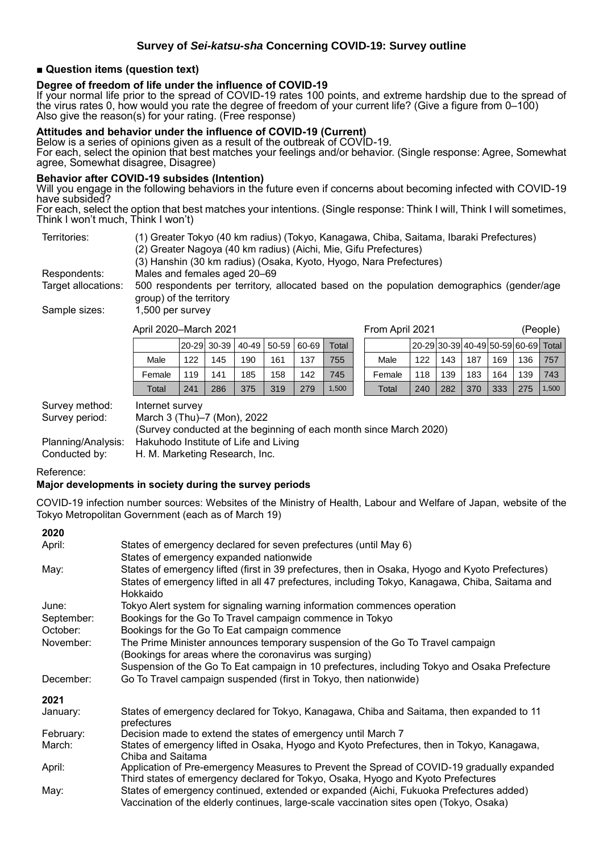#### **■ Question items (question text)**

# **Degree of freedom of life under the influence of COVID-19**

If your normal life prior to the spread of COVID-19 rates 100 points, and extreme hardship due to the spread of the virus rates 0, how would you rate the degree of freedom of your current life? (Give a figure from 0–100) Also give the reason(s) for your rating. (Free response)

#### **Attitudes and behavior under the influence of COVID-19 (Current)**

Below is a series of opinions given as a result of the outbreak of COVID-19.

For each, select the opinion that best matches your feelings and/or behavior. (Single response: Agree, Somewhat agree, Somewhat disagree, Disagree)

#### **Behavior after COVID-19 subsides (Intention)**

Will you engage in the following behaviors in the future even if concerns about becoming infected with COVID-19 have subsided?

For each, select the option that best matches your intentions. (Single response: Think I will, Think I will sometimes, Think l won't much, Think I won't)

| Territories:        | (1) Greater Tokyo (40 km radius) (Tokyo, Kanagawa, Chiba, Saitama, Ibaraki Prefectures)                              |
|---------------------|----------------------------------------------------------------------------------------------------------------------|
|                     | (2) Greater Nagoya (40 km radius) (Aichi, Mie, Gifu Prefectures)                                                     |
|                     | (3) Hanshin (30 km radius) (Osaka, Kyoto, Hyogo, Nara Prefectures)                                                   |
| Respondents:        | Males and females aged 20–69                                                                                         |
| Target allocations: | 500 respondents per territory, allocated based on the population demographics (gender/age<br>group) of the territory |
| Sample sizes:       | 1,500 per survey                                                                                                     |

April 2020–March 2021 From April 2021 (People)

|        |     | 20-29 30-39 |     | 40-49 50-59 60-69 |     | Total |        | l20-29l30-39l40-49l50-59l60-69l Total |     |     |     |     |       |
|--------|-----|-------------|-----|-------------------|-----|-------|--------|---------------------------------------|-----|-----|-----|-----|-------|
| Male   | 122 | 145         | 190 | 161               | 137 | 755   | Male   | 122                                   | 143 | 187 | 169 | 136 | 757   |
| Female | 119 | 141         | 185 | 158               | 142 | 745   | Female | 118                                   | 139 | 183 | 164 | 139 | 743   |
| Total  | 241 | 286         | 375 | 319               | 279 | .500  | Total  | 240                                   | 282 | 370 | 333 | 275 | 1,500 |

|     | -iviarch zuz i                       |     |     |     |       | FIOIII APIII ZUZ I |                                     | (People) |     |     |     |     |
|-----|--------------------------------------|-----|-----|-----|-------|--------------------|-------------------------------------|----------|-----|-----|-----|-----|
|     | 20-29  30-39   40-49   50-59   60-69 |     |     |     | Total |                    | 20-29 30-39 40-49 50-59 60-69 Total |          |     |     |     |     |
| 122 | 145                                  | 190 | 161 | 137 | 755   | Male               | 122                                 | 143      | 187 | 169 | 136 | 757 |
| 119 | 141                                  | 185 | 158 | 142 | 745   | Female             | 118                                 | 139      | 183 | 164 | 139 | 743 |

Survey method: Internet survey

Survey period: March 3 (Thu)–7 (Mon), 2022 (Survey conducted at the beginning of each month since March 2020) Planning/Analysis: Hakuhodo Institute of Life and Living

Conducted by: H. M. Marketing Research, Inc.

#### Reference:

#### **Major developments in society during the survey periods**

COVID-19 infection number sources: Websites of the Ministry of Health, Labour and Welfare of Japan, website of the Tokyo Metropolitan Government (each as of March 19)

#### **2020** April: States of emergency declared for seven prefectures (until May 6) States of emergency expanded nationwide May: States of emergency lifted (first in 39 prefectures, then in Osaka, Hyogo and Kyoto Prefectures) States of emergency lifted in all 47 prefectures, including Tokyo, Kanagawa, Chiba, Saitama and Hokkaido June: Tokyo Alert system for signaling warning information commences operation September: Bookings for the Go To Travel campaign commence in Tokyo October: Bookings for the Go To Eat campaign commence November: The Prime Minister announces temporary suspension of the Go To Travel campaign (Bookings for areas where the coronavirus was surging) Suspension of the Go To Eat campaign in 10 prefectures, including Tokyo and Osaka Prefecture December: Go To Travel campaign suspended (first in Tokyo, then nationwide) **2021** January: States of emergency declared for Tokyo, Kanagawa, Chiba and Saitama, then expanded to 11 prefectures February: Decision made to extend the states of emergency until March 7 March: States of emergency lifted in Osaka, Hyogo and Kyoto Prefectures, then in Tokyo, Kanagawa, Chiba and Saitama April: Application of Pre-emergency Measures to Prevent the Spread of COVID-19 gradually expanded Third states of emergency declared for Tokyo, Osaka, Hyogo and Kyoto Prefectures May: States of emergency continued, extended or expanded (Aichi, Fukuoka Prefectures added) Vaccination of the elderly continues, large-scale vaccination sites open (Tokyo, Osaka)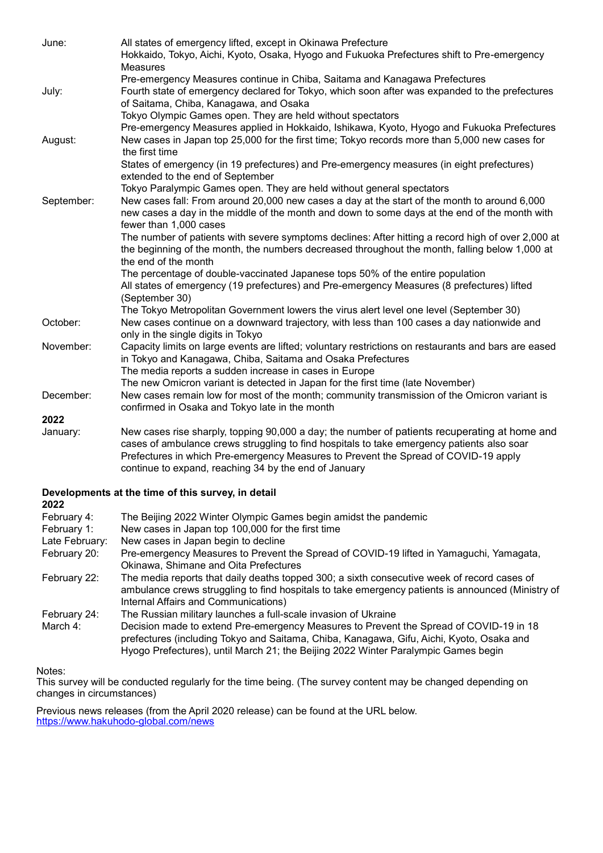| June:          | All states of emergency lifted, except in Okinawa Prefecture                                                                                                                                  |
|----------------|-----------------------------------------------------------------------------------------------------------------------------------------------------------------------------------------------|
|                | Hokkaido, Tokyo, Aichi, Kyoto, Osaka, Hyogo and Fukuoka Prefectures shift to Pre-emergency                                                                                                    |
|                | <b>Measures</b>                                                                                                                                                                               |
|                | Pre-emergency Measures continue in Chiba, Saitama and Kanagawa Prefectures                                                                                                                    |
| July:          | Fourth state of emergency declared for Tokyo, which soon after was expanded to the prefectures                                                                                                |
|                | of Saitama, Chiba, Kanagawa, and Osaka                                                                                                                                                        |
|                | Tokyo Olympic Games open. They are held without spectators                                                                                                                                    |
|                | Pre-emergency Measures applied in Hokkaido, Ishikawa, Kyoto, Hyogo and Fukuoka Prefectures                                                                                                    |
| August:        | New cases in Japan top 25,000 for the first time; Tokyo records more than 5,000 new cases for                                                                                                 |
|                | the first time                                                                                                                                                                                |
|                | States of emergency (in 19 prefectures) and Pre-emergency measures (in eight prefectures)                                                                                                     |
|                | extended to the end of September                                                                                                                                                              |
|                | Tokyo Paralympic Games open. They are held without general spectators                                                                                                                         |
| September:     | New cases fall: From around 20,000 new cases a day at the start of the month to around 6,000<br>new cases a day in the middle of the month and down to some days at the end of the month with |
|                | fewer than 1,000 cases                                                                                                                                                                        |
|                | The number of patients with severe symptoms declines: After hitting a record high of over 2,000 at                                                                                            |
|                | the beginning of the month, the numbers decreased throughout the month, falling below 1,000 at                                                                                                |
|                | the end of the month                                                                                                                                                                          |
|                | The percentage of double-vaccinated Japanese tops 50% of the entire population                                                                                                                |
|                | All states of emergency (19 prefectures) and Pre-emergency Measures (8 prefectures) lifted                                                                                                    |
|                | (September 30)                                                                                                                                                                                |
|                | The Tokyo Metropolitan Government lowers the virus alert level one level (September 30)                                                                                                       |
| October:       | New cases continue on a downward trajectory, with less than 100 cases a day nationwide and                                                                                                    |
|                | only in the single digits in Tokyo                                                                                                                                                            |
| November:      | Capacity limits on large events are lifted; voluntary restrictions on restaurants and bars are eased                                                                                          |
|                | in Tokyo and Kanagawa, Chiba, Saitama and Osaka Prefectures                                                                                                                                   |
|                | The media reports a sudden increase in cases in Europe                                                                                                                                        |
| December:      | The new Omicron variant is detected in Japan for the first time (late November)<br>New cases remain low for most of the month; community transmission of the Omicron variant is               |
|                | confirmed in Osaka and Tokyo late in the month                                                                                                                                                |
| 2022           |                                                                                                                                                                                               |
| January:       | New cases rise sharply, topping 90,000 a day; the number of patients recuperating at home and                                                                                                 |
|                | cases of ambulance crews struggling to find hospitals to take emergency patients also soar                                                                                                    |
|                | Prefectures in which Pre-emergency Measures to Prevent the Spread of COVID-19 apply                                                                                                           |
|                | continue to expand, reaching 34 by the end of January                                                                                                                                         |
|                |                                                                                                                                                                                               |
| 2022           | Developments at the time of this survey, in detail                                                                                                                                            |
| February 4:    | The Beijing 2022 Winter Olympic Games begin amidst the pandemic                                                                                                                               |
| February 1:    | New cases in Japan top 100,000 for the first time                                                                                                                                             |
| Late February: | New cases in Japan begin to decline                                                                                                                                                           |
| February 20:   | Pre-emergency Measures to Prevent the Spread of COVID-19 lifted in Yamaguchi, Yamagata,<br>Okinawa, Shimane and Oita Prefectures                                                              |
| February 22:   | The media reports that daily deaths topped 300; a sixth consecutive week of record cases of                                                                                                   |
|                | ambulance crows struggling to find bospitals to take emergency patients is announced (Ministry of                                                                                             |

ambulance crews struggling to find hospitals to take emergency patients is announced (Ministry of Internal Affairs and Communications) February 24: The Russian military launches a full-scale invasion of Ukraine<br>March 4: Decision made to extend Pre-emergency Measures to Prevent

Decision made to extend Pre-emergency Measures to Prevent the Spread of COVID-19 in 18 prefectures (including Tokyo and Saitama, Chiba, Kanagawa, Gifu, Aichi, Kyoto, Osaka and Hyogo Prefectures), until March 21; the Beijing 2022 Winter Paralympic Games begin

Notes:

This survey will be conducted regularly for the time being. (The survey content may be changed depending on changes in circumstances)

Previous news releases (from the April 2020 release) can be found at the URL below. <https://www.hakuhodo-global.com/news>